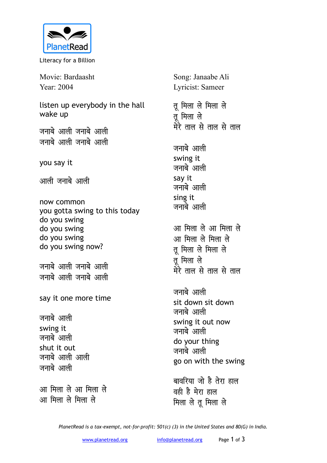

Literacy for a Billion

Movie: Bardaasht Year: 2004

listen up everybody in the hall wake up

जनाबे आली जनाबे आली जनाबे आली जनाबे आली

you say it

<u>आली जनाबे आली</u>

now common you gotta swing to this today do you swing do you swing do you swing do you swing now?

जनाबे आली जनाबे आली <u>जनाबे आली जनाबे आली</u>

say it one more time

जनाबे आली swing it जनाबे आली shut it out जनाबे आली आली जनाबे आली

<u>आ मिला ले आ मिला ले</u> **vk feyk ys feyk ys**

Song: Janaabe Ali Lyricist: Sameer

**rw feyk ys feyk ys तू** मिला ले <u>मेरे ताल से ताल से ताल</u>

जनाबे आली swing it जनाबे आली say it जनाबे आली sing it जनाबे आली

<u>आ मिला ले आ मिला ले</u> <u>आ मिला ले मिला ले</u> तु मिला ले मिला ले **तू** मिला ले <u>मेरे ताल से ताल से ताल</u>

जनाबे आली sit down sit down जनाबे आली swing it out now जनाबे आली do your thing जनाबे आली go on with the swing

बावरिया जो है तेरा **हाल** वही है मेरा हाल **मिला ले तू मिला ले** 

*PlanetRead is a tax-exempt, not-for-profit: 501(c) (3) in the United States and 80(G) in India.*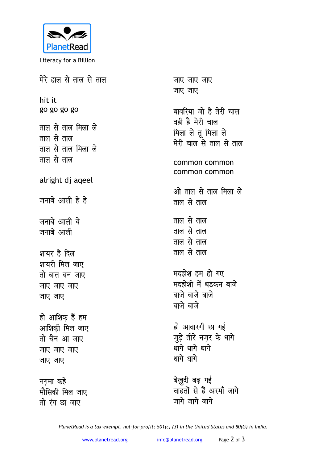

Literacy for a Billion

मेरे हाल से ताल से ताल hit it go go go go ताल से ताल मिला ले ताल से ताल ताल से ताल मिला ले ताल से ताल alright dj ageel जनाबे आली हे हे जनाबे आली ये जनाबे आली शायर है दिल शायरी मिल जाए तो बात बन जाए जाए जाए जाए जाए जाए हो आशिक हैं हम आशिकी मिल जाए तो चैन आ जाए जाए जाए जाए जाए जाए नगमा कहे मौसिकी मिल जाए तो रंग छा जाए

जाए जाए जाए जाए जाए बावरिया जो है तेरी चाल वही है मेरी चाल मिला ले तू मिला ले मेरी चाल से ताल से ताल common common common common ओ ताल से ताल मिला ले ताल से ताल ताल से ताल ताल से ताल ताल से ताल ताल से ताल मदहोश हम हो गए मदहोशी में धडकन बाजे बाजे बाजे बाजे बाजे बाजे हो आवारगी छा गई जुड़े तीरे नज़र के धागे धागे धागे धागे धागे धागे बेखुदी बढ़ गई

चाहतों से हैं अरमाँ जागे जागे जागे जागे

PlanetRead is a tax-exempt, not-for-profit: 501(c) (3) in the United States and 80(G) in India.